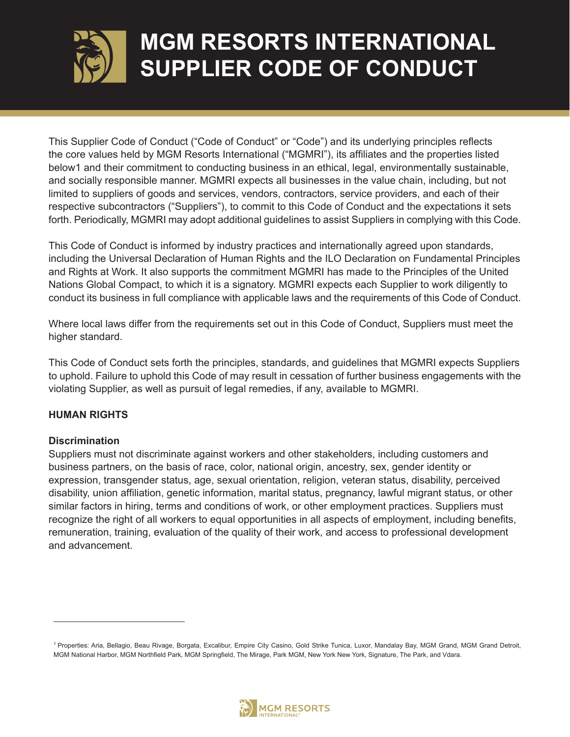

This Supplier Code of Conduct ("Code of Conduct" or "Code") and its underlying principles reflects the core values held by MGM Resorts International ("MGMRI"), its affiliates and the properties listed below1 and their commitment to conducting business in an ethical, legal, environmentally sustainable, and socially responsible manner. MGMRI expects all businesses in the value chain, including, but not limited to suppliers of goods and services, vendors, contractors, service providers, and each of their respective subcontractors ("Suppliers"), to commit to this Code of Conduct and the expectations it sets forth. Periodically, MGMRI may adopt additional guidelines to assist Suppliers in complying with this Code.

This Code of Conduct is informed by industry practices and internationally agreed upon standards, including the Universal Declaration of Human Rights and the ILO Declaration on Fundamental Principles and Rights at Work. It also supports the commitment MGMRI has made to the Principles of the United Nations Global Compact, to which it is a signatory. MGMRI expects each Supplier to work diligently to conduct its business in full compliance with applicable laws and the requirements of this Code of Conduct.

Where local laws differ from the requirements set out in this Code of Conduct, Suppliers must meet the higher standard.

This Code of Conduct sets forth the principles, standards, and guidelines that MGMRI expects Suppliers to uphold. Failure to uphold this Code of may result in cessation of further business engagements with the violating Supplier, as well as pursuit of legal remedies, if any, available to MGMRI.

## **HUMAN RIGHTS**

## **Discrimination**

Suppliers must not discriminate against workers and other stakeholders, including customers and business partners, on the basis of race, color, national origin, ancestry, sex, gender identity or expression, transgender status, age, sexual orientation, religion, veteran status, disability, perceived disability, union affiliation, genetic information, marital status, pregnancy, lawful migrant status, or other similar factors in hiring, terms and conditions of work, or other employment practices. Suppliers must recognize the right of all workers to equal opportunities in all aspects of employment, including benefits, remuneration, training, evaluation of the quality of their work, and access to professional development and advancement.



<sup>1</sup> Properties: Aria, Bellagio, Beau Rivage, Borgata, Excalibur, Empire City Casino, Gold Strike Tunica, Luxor, Mandalay Bay, MGM Grand, MGM Grand Detroit, MGM National Harbor, MGM Northfield Park, MGM Springfield, The Mirage, Park MGM, New York New York, Signature, The Park, and Vdara.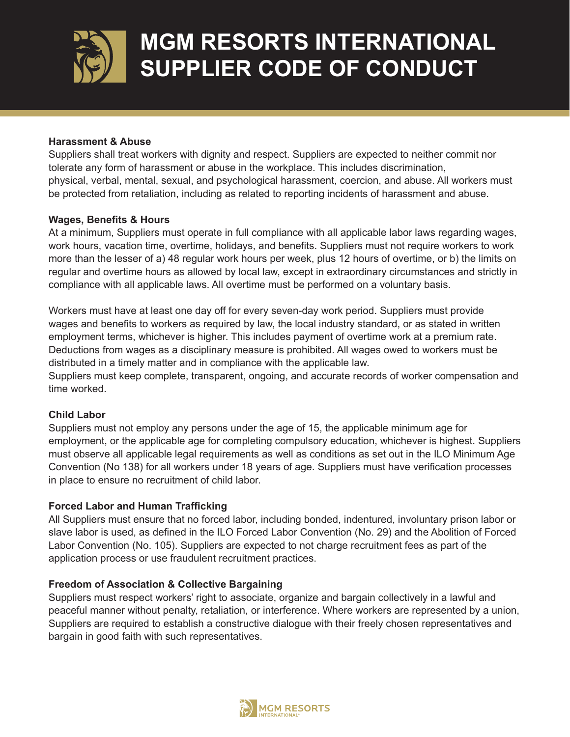

### **Harassment & Abuse**

Suppliers shall treat workers with dignity and respect. Suppliers are expected to neither commit nor tolerate any form of harassment or abuse in the workplace. This includes discrimination, physical, verbal, mental, sexual, and psychological harassment, coercion, and abuse. All workers must be protected from retaliation, including as related to reporting incidents of harassment and abuse.

## **Wages, Benefits & Hours**

At a minimum, Suppliers must operate in full compliance with all applicable labor laws regarding wages, work hours, vacation time, overtime, holidays, and benefits. Suppliers must not require workers to work more than the lesser of a) 48 regular work hours per week, plus 12 hours of overtime, or b) the limits on regular and overtime hours as allowed by local law, except in extraordinary circumstances and strictly in compliance with all applicable laws. All overtime must be performed on a voluntary basis.

Workers must have at least one day off for every seven-day work period. Suppliers must provide wages and benefits to workers as required by law, the local industry standard, or as stated in written employment terms, whichever is higher. This includes payment of overtime work at a premium rate. Deductions from wages as a disciplinary measure is prohibited. All wages owed to workers must be distributed in a timely matter and in compliance with the applicable law.

Suppliers must keep complete, transparent, ongoing, and accurate records of worker compensation and time worked.

### **Child Labor**

Suppliers must not employ any persons under the age of 15, the applicable minimum age for employment, or the applicable age for completing compulsory education, whichever is highest. Suppliers must observe all applicable legal requirements as well as conditions as set out in the ILO Minimum Age Convention (No 138) for all workers under 18 years of age. Suppliers must have verification processes in place to ensure no recruitment of child labor.

## **Forced Labor and Human Trafficking**

All Suppliers must ensure that no forced labor, including bonded, indentured, involuntary prison labor or slave labor is used, as defined in the ILO Forced Labor Convention (No. 29) and the Abolition of Forced Labor Convention (No. 105). Suppliers are expected to not charge recruitment fees as part of the application process or use fraudulent recruitment practices.

### **Freedom of Association & Collective Bargaining**

Suppliers must respect workers' right to associate, organize and bargain collectively in a lawful and peaceful manner without penalty, retaliation, or interference. Where workers are represented by a union, Suppliers are required to establish a constructive dialogue with their freely chosen representatives and bargain in good faith with such representatives.

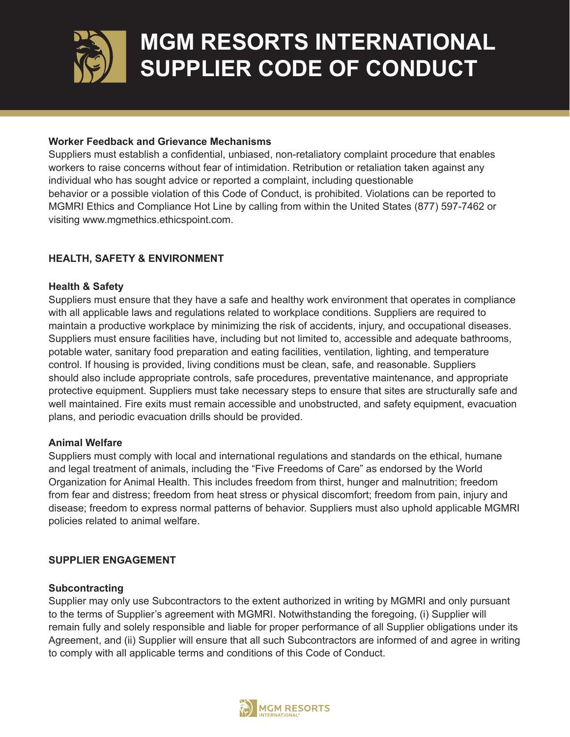

### **Worker Feedback and Grievance Mechanisms**

Suppliers must establish a confidential, unbiased, non-retaliatory complaint procedure that enables workers to raise concerns without fear of intimidation. Retribution or retaliation taken against any individual who has sought advice or reported a complaint, including questionable behavior or a possible violation of this Code of Conduct, is prohibited. Violations can be reported to MGMRI Ethics and Compliance Hot Line by calling from within the United States (877) 597-7462 or visiting www.mgmethics.ethicspoint.com.

## **HEALTH, SAFETY & ENVIRONMENT**

## **Health & Safety**

Suppliers must ensure that they have a safe and healthy work environment that operates in compliance with all applicable laws and regulations related to workplace conditions. Suppliers are required to maintain a productive workplace by minimizing the risk of accidents, injury, and occupational diseases. Suppliers must ensure facilities have, including but not limited to, accessible and adequate bathrooms, potable water, sanitary food preparation and eating facilities, ventilation, lighting, and temperature control. If housing is provided, living conditions must be clean, safe, and reasonable. Suppliers should also include appropriate controls, safe procedures, preventative maintenance, and appropriate protective equipment. Suppliers must take necessary steps to ensure that sites are structurally safe and well maintained. Fire exits must remain accessible and unobstructed, and safety equipment, evacuation plans, and periodic evacuation drills should be provided.

### **Animal Welfare**

Suppliers must comply with local and international regulations and standards on the ethical, humane and legal treatment of animals, including the "Five Freedoms of Care" as endorsed by the World Organization for Animal Health. This includes freedom from thirst, hunger and malnutrition; freedom from fear and distress; freedom from heat stress or physical discomfort; freedom from pain, injury and disease; freedom to express normal patterns of behavior. Suppliers must also uphold applicable MGMRI policies related to animal welfare.

## **SUPPLIER ENGAGEMENT**

### **Subcontracting**

Supplier may only use Subcontractors to the extent authorized in writing by MGMRI and only pursuant to the terms of Supplier's agreement with MGMRI. Notwithstanding the foregoing, (i) Supplier will remain fully and solely responsible and liable for proper performance of all Supplier obligations under its Agreement, and (ii) Supplier will ensure that all such Subcontractors are informed of and agree in writing to comply with all applicable terms and conditions of this Code of Conduct.

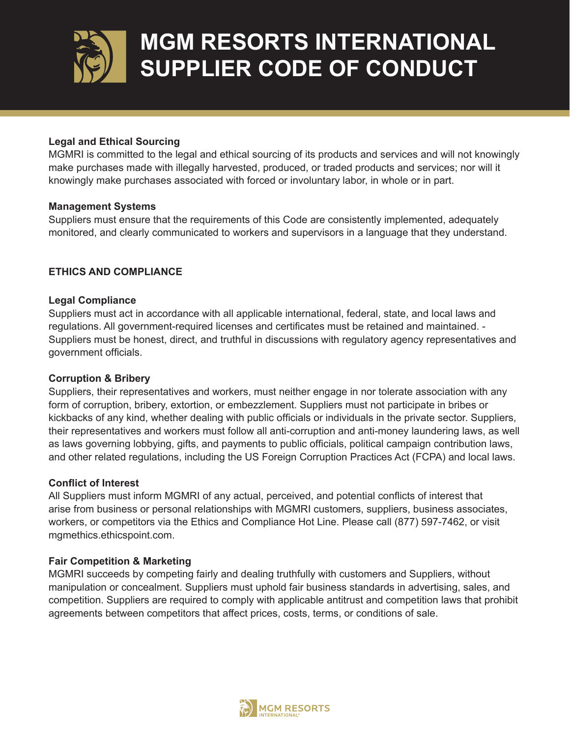

## **Legal and Ethical Sourcing**

MGMRI is committed to the legal and ethical sourcing of its products and services and will not knowingly make purchases made with illegally harvested, produced, or traded products and services; nor will it knowingly make purchases associated with forced or involuntary labor, in whole or in part.

### **Management Systems**

Suppliers must ensure that the requirements of this Code are consistently implemented, adequately monitored, and clearly communicated to workers and supervisors in a language that they understand.

## **ETHICS AND COMPLIANCE**

### **Legal Compliance**

Suppliers must act in accordance with all applicable international, federal, state, and local laws and regulations. All government-required licenses and certificates must be retained and maintained. - Suppliers must be honest, direct, and truthful in discussions with regulatory agency representatives and government officials.

### **Corruption & Bribery**

Suppliers, their representatives and workers, must neither engage in nor tolerate association with any form of corruption, bribery, extortion, or embezzlement. Suppliers must not participate in bribes or kickbacks of any kind, whether dealing with public officials or individuals in the private sector. Suppliers, their representatives and workers must follow all anti-corruption and anti-money laundering laws, as well as laws governing lobbying, gifts, and payments to public officials, political campaign contribution laws, and other related regulations, including the US Foreign Corruption Practices Act (FCPA) and local laws.

### **Conflict of Interest**

All Suppliers must inform MGMRI of any actual, perceived, and potential conflicts of interest that arise from business or personal relationships with MGMRI customers, suppliers, business associates, workers, or competitors via the Ethics and Compliance Hot Line. Please call (877) 597-7462, or visit mgmethics.ethicspoint.com.

### **Fair Competition & Marketing**

MGMRI succeeds by competing fairly and dealing truthfully with customers and Suppliers, without manipulation or concealment. Suppliers must uphold fair business standards in advertising, sales, and competition. Suppliers are required to comply with applicable antitrust and competition laws that prohibit agreements between competitors that affect prices, costs, terms, or conditions of sale.